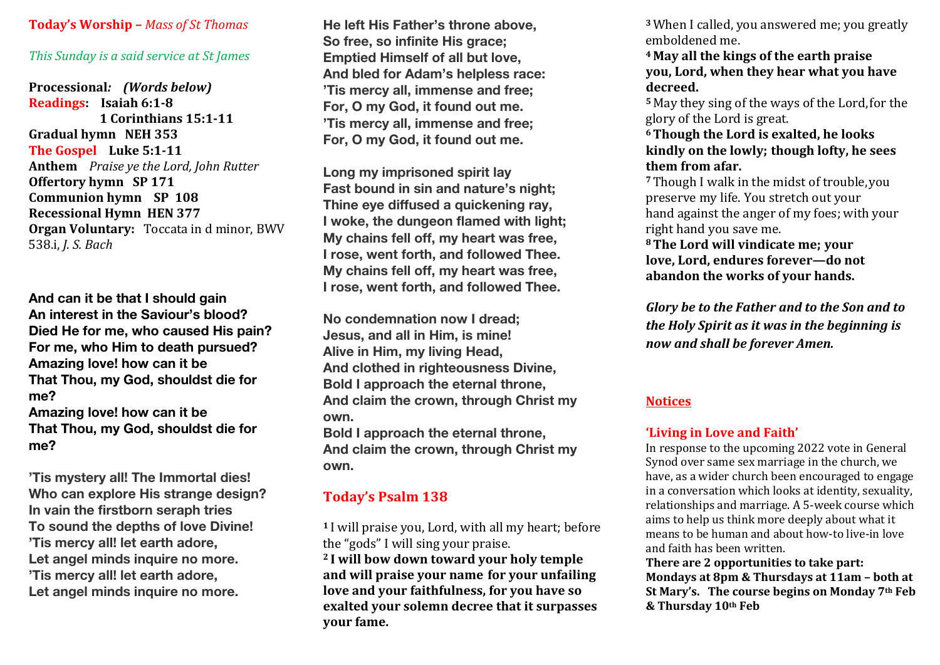#### **Today's Worship –** *Mass of St Thomas*

#### *This Sunday is a said service at St James*

**Processional***: (Words below)* **Readings:** Isaiah 6:1-8 **1 Corinthians <b>15:1-11 Gradual hymn** NEH 353 **The Gospel** Luke 5:1-11 **Anthem** *Praise ye the Lord, John Rutter* **Offertory hymn SP 171 Communion hymn SP 108 Recessional Hymn HEN 377 Organ Voluntary:** Toccata in d minor, BWV 538.i, *J. S. Bach* 

**And can it be that I should gain An interest in the Saviour's blood? Died He for me, who caused His pain? For me, who Him to death pursued? Amazing love! how can it be That Thou, my God, shouldst die for me? Amazing love! how can it be That Thou, my God, shouldst die for me?**

**'Tis mystery all! The Immortal dies! Who can explore His strange design? In vain the firstborn seraph tries To sound the depths of love Divine! 'Tis mercy all! let earth adore, Let angel minds inquire no more. 'Tis mercy all! let earth adore, Let angel minds inquire no more.**

**He left His Father's throne above, So free, so infinite His grace; Emptied Himself of all but love, And bled for Adam's helpless race: 'Tis mercy all, immense and free; For, O my God, it found out me. 'Tis mercy all, immense and free; For, O my God, it found out me.**

**Long my imprisoned spirit lay Fast bound in sin and nature's night; Thine eye diffused a quickening ray, I woke, the dungeon flamed with light; My chains fell off, my heart was free, I rose, went forth, and followed Thee. My chains fell off, my heart was free, I rose, went forth, and followed Thee.**

**No condemnation now I dread; Jesus, and all in Him, is mine! Alive in Him, my living Head, And clothed in righteousness Divine, Bold I approach the eternal throne, And claim the crown, through Christ my own. Bold I approach the eternal throne,**

**And claim the crown, through Christ my own.**

# **Today's Psalm 138**

<sup>1</sup> I will praise you, Lord, with all my heart; before the "gods" I will sing your praise. <sup>2</sup> I will bow down toward your holy temple and will praise your name for your unfailing love and your faithfulness, for you have so **exalted your solemn decree that it surpasses your fame.**

<sup>3</sup> When I called, you answered me; you greatly emboldened me.

**<sup>4</sup> May all the kings of the earth praise you, Lord, when they hear what you have decreed.**

<sup>5</sup> May they sing of the ways of the Lord, for the glory of the Lord is great.

**6Though the Lord is exalted, he looks**  kindly on the lowly; though lofty, he sees **them from afar.**

<sup>7</sup> Though I walk in the midst of trouble, you preserve my life. You stretch out your hand against the anger of my foes; with your right hand you save me.

**8 The Lord will vindicate me; vour love, Lord, endures forever—do not** abandon the works of your hands.

*Glory be to the Father and to the Son and to the Holy Spirit as it was in the beginning is now and shall be forever Amen.* 

#### **Notices**

#### 'Living in Love and Faith'

In response to the upcoming 2022 vote in General Synod over same sex marriage in the church, we have, as a wider church been encouraged to engage in a conversation which looks at identity, sexuality, relationships and marriage. A 5-week course which aims to help us think more deeply about what it means to be human and about how-to live-in love and faith has been written.

**There are 2 opportunities to take part: Mondays at 8pm & Thursdays at 11am - both at** St Mary's. The course begins on Monday 7<sup>th</sup> Feb **& Thursday 10th Feb**